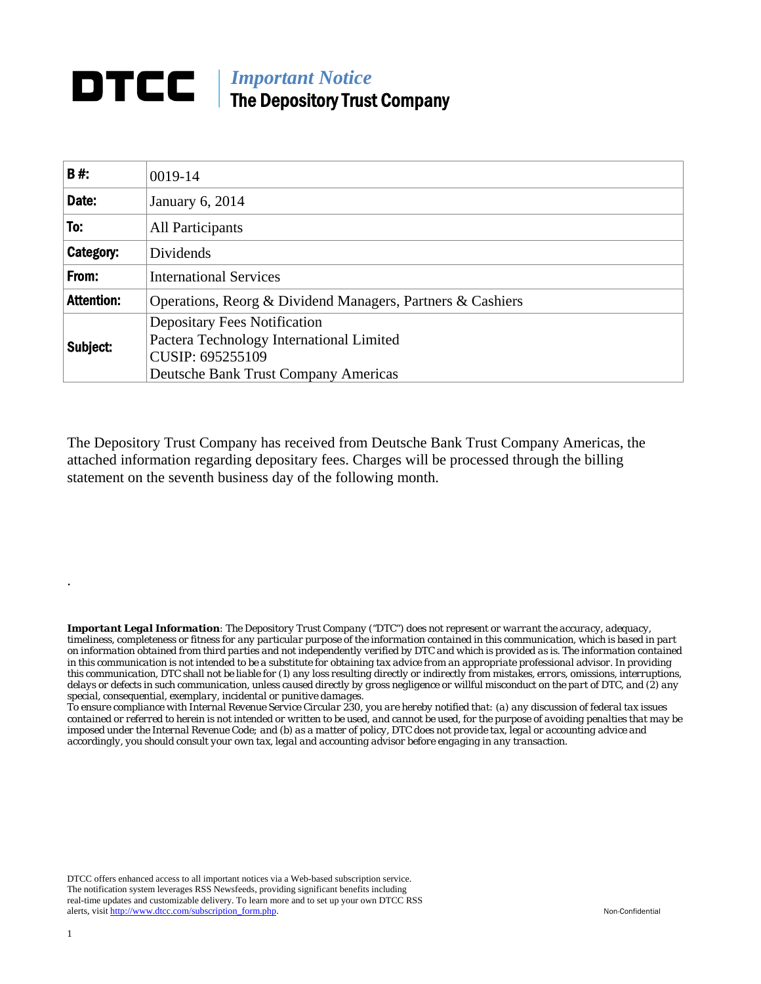## **DTCC** | *Important Notice* The Depository Trust Company

| <b>B#:</b>        | 0019-14                                                                                                                                     |  |  |  |  |  |
|-------------------|---------------------------------------------------------------------------------------------------------------------------------------------|--|--|--|--|--|
| Date:             | January 6, 2014                                                                                                                             |  |  |  |  |  |
| To:               | All Participants                                                                                                                            |  |  |  |  |  |
| Category:         | Dividends                                                                                                                                   |  |  |  |  |  |
| From:             | <b>International Services</b>                                                                                                               |  |  |  |  |  |
| <b>Attention:</b> | Operations, Reorg & Dividend Managers, Partners & Cashiers                                                                                  |  |  |  |  |  |
| Subject:          | <b>Depositary Fees Notification</b><br>Pactera Technology International Limited<br>CUSIP: 695255109<br>Deutsche Bank Trust Company Americas |  |  |  |  |  |

The Depository Trust Company has received from Deutsche Bank Trust Company Americas, the attached information regarding depositary fees. Charges will be processed through the billing statement on the seventh business day of the following month.

*Important Legal Information: The Depository Trust Company ("DTC") does not represent or warrant the accuracy, adequacy, timeliness, completeness or fitness for any particular purpose of the information contained in this communication, which is based in part on information obtained from third parties and not independently verified by DTC and which is provided as is. The information contained in this communication is not intended to be a substitute for obtaining tax advice from an appropriate professional advisor. In providing this communication, DTC shall not be liable for (1) any loss resulting directly or indirectly from mistakes, errors, omissions, interruptions, delays or defects in such communication, unless caused directly by gross negligence or willful misconduct on the part of DTC, and (2) any special, consequential, exemplary, incidental or punitive damages.* 

*To ensure compliance with Internal Revenue Service Circular 230, you are hereby notified that: (a) any discussion of federal tax issues contained or referred to herein is not intended or written to be used, and cannot be used, for the purpose of avoiding penalties that may be imposed under the Internal Revenue Code; and (b) as a matter of policy, DTC does not provide tax, legal or accounting advice and accordingly, you should consult your own tax, legal and accounting advisor before engaging in any transaction.*

DTCC offers enhanced access to all important notices via a Web-based subscription service. The notification system leverages RSS Newsfeeds, providing significant benefits including real-time updates and customizable delivery. To learn more and to set up your own DTCC RSS alerts, visit http://www.dtcc.com/subscription\_form.php. Non-Confidential

.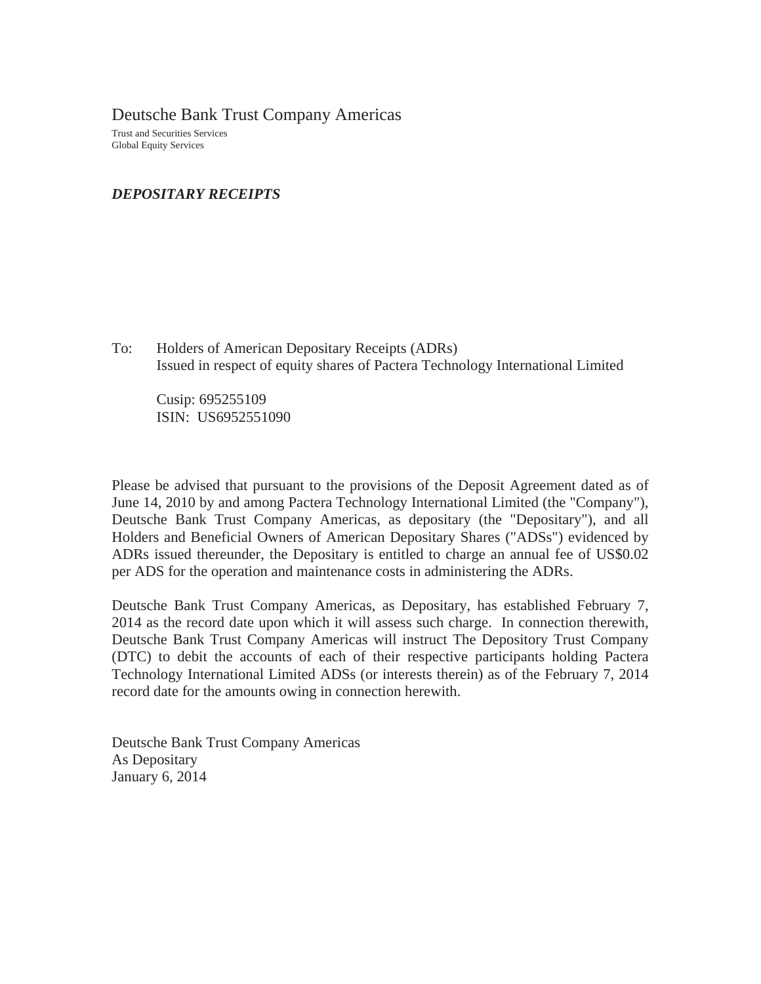Deutsche Bank Trust Company Americas Trust and Securities Services Global Equity Services

*DEPOSITARY RECEIPTS*

To: Holders of American Depositary Receipts (ADRs) Issued in respect of equity shares of Pactera Technology International Limited

Cusip: 695255109 ISIN: US6952551090

Please be advised that pursuant to the provisions of the Deposit Agreement dated as of June 14, 2010 by and among Pactera Technology International Limited (the "Company"), Deutsche Bank Trust Company Americas, as depositary (the "Depositary"), and all Holders and Beneficial Owners of American Depositary Shares ("ADSs") evidenced by ADRs issued thereunder, the Depositary is entitled to charge an annual fee of US\$0.02 per ADS for the operation and maintenance costs in administering the ADRs.

Deutsche Bank Trust Company Americas, as Depositary, has established February 7, 2014 as the record date upon which it will assess such charge. In connection therewith, Deutsche Bank Trust Company Americas will instruct The Depository Trust Company (DTC) to debit the accounts of each of their respective participants holding Pactera Technology International Limited ADSs (or interests therein) as of the February 7, 2014 record date for the amounts owing in connection herewith.

Deutsche Bank Trust Company Americas As Depositary January 6, 2014